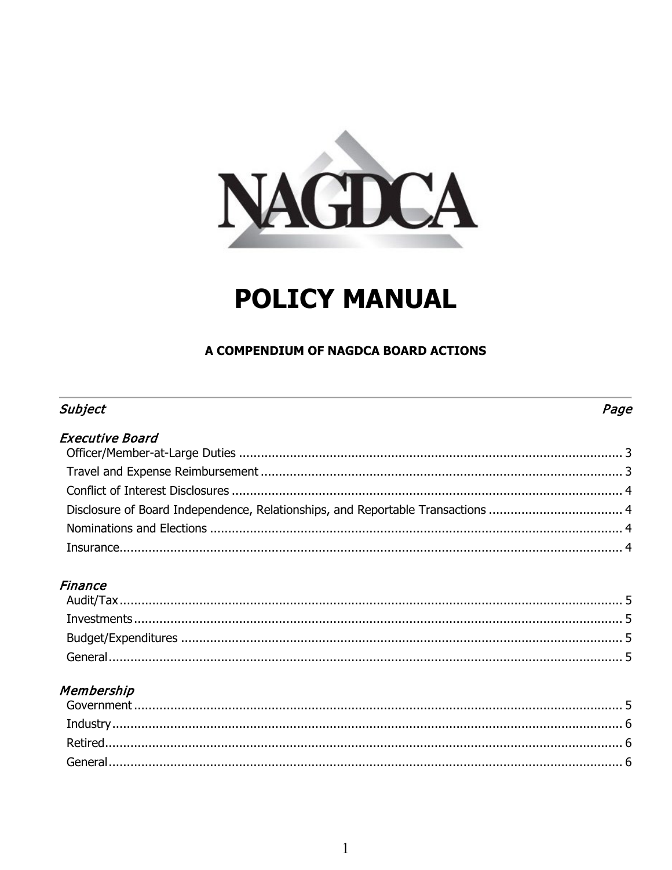

# **POLICY MANUAL**

# A COMPENDIUM OF NAGDCA BOARD ACTIONS

# Subject

# Page

| <b>Executive Board</b> |  |
|------------------------|--|
|                        |  |
|                        |  |
|                        |  |
|                        |  |
|                        |  |
|                        |  |

# **Finance**

# Membership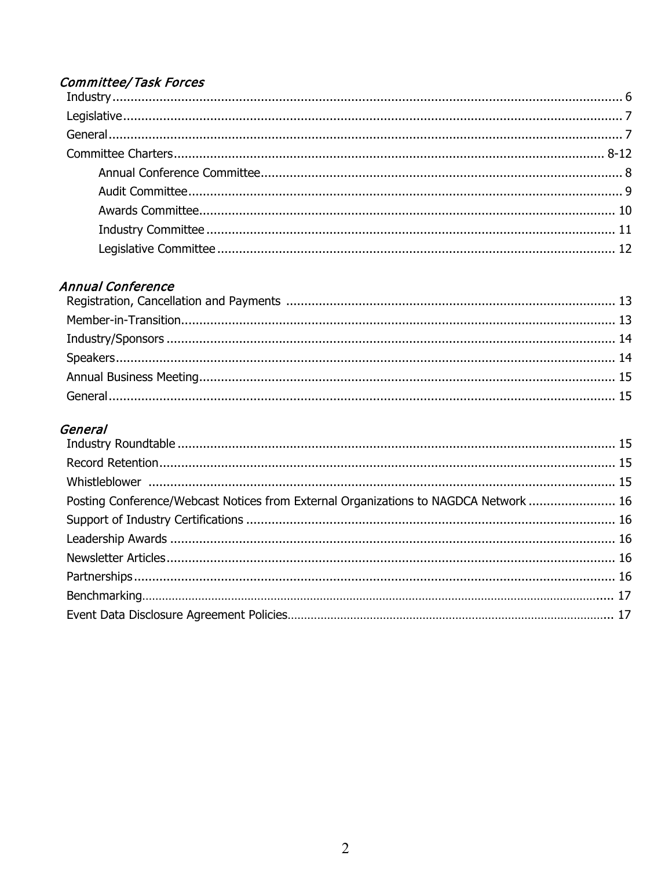# **Committee/Task Forces**

# **Annual Conference**

# General

| Posting Conference/Webcast Notices from External Organizations to NAGDCA Network  16 |  |
|--------------------------------------------------------------------------------------|--|
|                                                                                      |  |
|                                                                                      |  |
|                                                                                      |  |
|                                                                                      |  |
|                                                                                      |  |
|                                                                                      |  |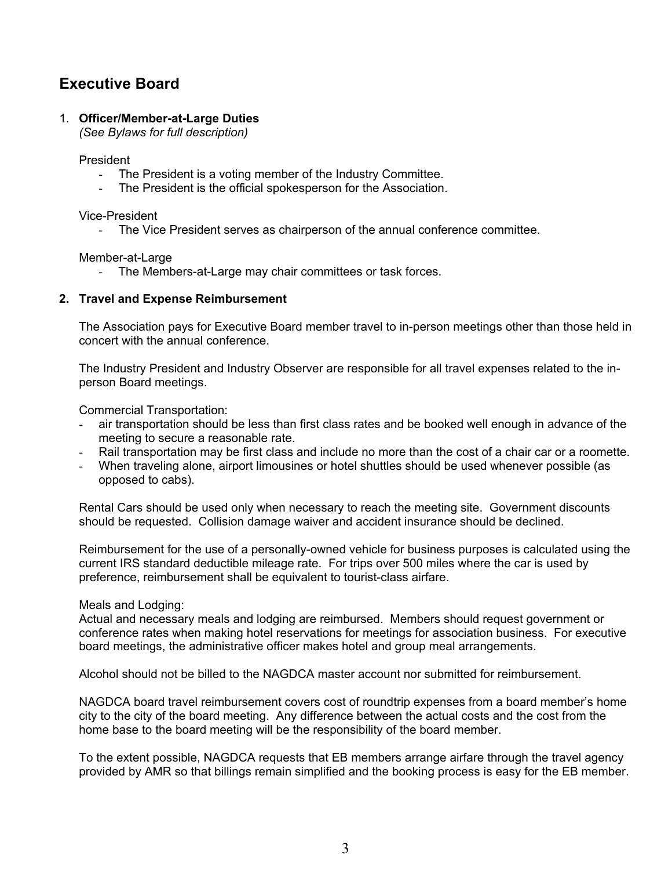# **Executive Board**

## 1. **Officer/Member-at-Large Duties**

*(See Bylaws for full description)*

President

- The President is a voting member of the Industry Committee.
- The President is the official spokesperson for the Association.

Vice-President

- The Vice President serves as chairperson of the annual conference committee.

Member-at-Large

- The Members-at-Large may chair committees or task forces.

#### **2. Travel and Expense Reimbursement**

The Association pays for Executive Board member travel to in-person meetings other than those held in concert with the annual conference.

The Industry President and Industry Observer are responsible for all travel expenses related to the inperson Board meetings.

Commercial Transportation:

- air transportation should be less than first class rates and be booked well enough in advance of the meeting to secure a reasonable rate.
- Rail transportation may be first class and include no more than the cost of a chair car or a roomette.
- When traveling alone, airport limousines or hotel shuttles should be used whenever possible (as opposed to cabs).

Rental Cars should be used only when necessary to reach the meeting site. Government discounts should be requested. Collision damage waiver and accident insurance should be declined.

Reimbursement for the use of a personally-owned vehicle for business purposes is calculated using the current IRS standard deductible mileage rate. For trips over 500 miles where the car is used by preference, reimbursement shall be equivalent to tourist-class airfare.

Meals and Lodging:

Actual and necessary meals and lodging are reimbursed. Members should request government or conference rates when making hotel reservations for meetings for association business. For executive board meetings, the administrative officer makes hotel and group meal arrangements.

Alcohol should not be billed to the NAGDCA master account nor submitted for reimbursement.

NAGDCA board travel reimbursement covers cost of roundtrip expenses from a board member's home city to the city of the board meeting. Any difference between the actual costs and the cost from the home base to the board meeting will be the responsibility of the board member.

To the extent possible, NAGDCA requests that EB members arrange airfare through the travel agency provided by AMR so that billings remain simplified and the booking process is easy for the EB member.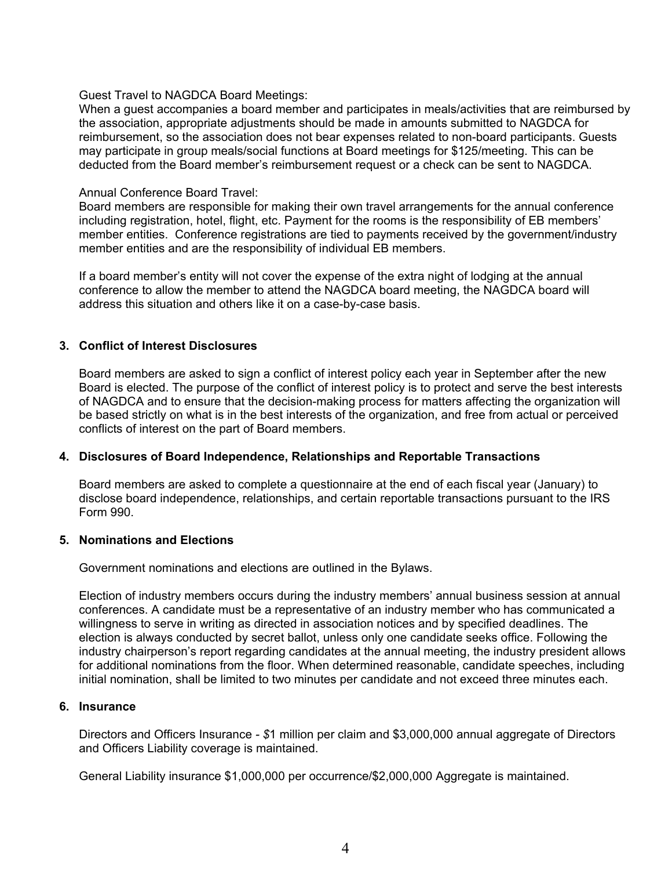#### Guest Travel to NAGDCA Board Meetings:

When a guest accompanies a board member and participates in meals/activities that are reimbursed by the association, appropriate adjustments should be made in amounts submitted to NAGDCA for reimbursement, so the association does not bear expenses related to non-board participants. Guests may participate in group meals/social functions at Board meetings for \$125/meeting. This can be deducted from the Board member's reimbursement request or a check can be sent to NAGDCA.

#### Annual Conference Board Travel:

Board members are responsible for making their own travel arrangements for the annual conference including registration, hotel, flight, etc. Payment for the rooms is the responsibility of EB members' member entities. Conference registrations are tied to payments received by the government/industry member entities and are the responsibility of individual EB members.

If a board member's entity will not cover the expense of the extra night of lodging at the annual conference to allow the member to attend the NAGDCA board meeting, the NAGDCA board will address this situation and others like it on a case-by-case basis.

# **3. Conflict of Interest Disclosures**

Board members are asked to sign a conflict of interest policy each year in September after the new Board is elected. The purpose of the conflict of interest policy is to protect and serve the best interests of NAGDCA and to ensure that the decision-making process for matters affecting the organization will be based strictly on what is in the best interests of the organization, and free from actual or perceived conflicts of interest on the part of Board members.

# **4. Disclosures of Board Independence, Relationships and Reportable Transactions**

Board members are asked to complete a questionnaire at the end of each fiscal year (January) to disclose board independence, relationships, and certain reportable transactions pursuant to the IRS Form 990.

#### **5. Nominations and Elections**

Government nominations and elections are outlined in the Bylaws.

Election of industry members occurs during the industry members' annual business session at annual conferences. A candidate must be a representative of an industry member who has communicated a willingness to serve in writing as directed in association notices and by specified deadlines. The election is always conducted by secret ballot, unless only one candidate seeks office. Following the industry chairperson's report regarding candidates at the annual meeting, the industry president allows for additional nominations from the floor. When determined reasonable, candidate speeches, including initial nomination, shall be limited to two minutes per candidate and not exceed three minutes each.

## **6. Insurance**

Directors and Officers Insurance *- \$*1 million per claim and \$3,000,000 annual aggregate of Directors and Officers Liability coverage is maintained.

General Liability insurance \$1,000,000 per occurrence/\$2,000,000 Aggregate is maintained.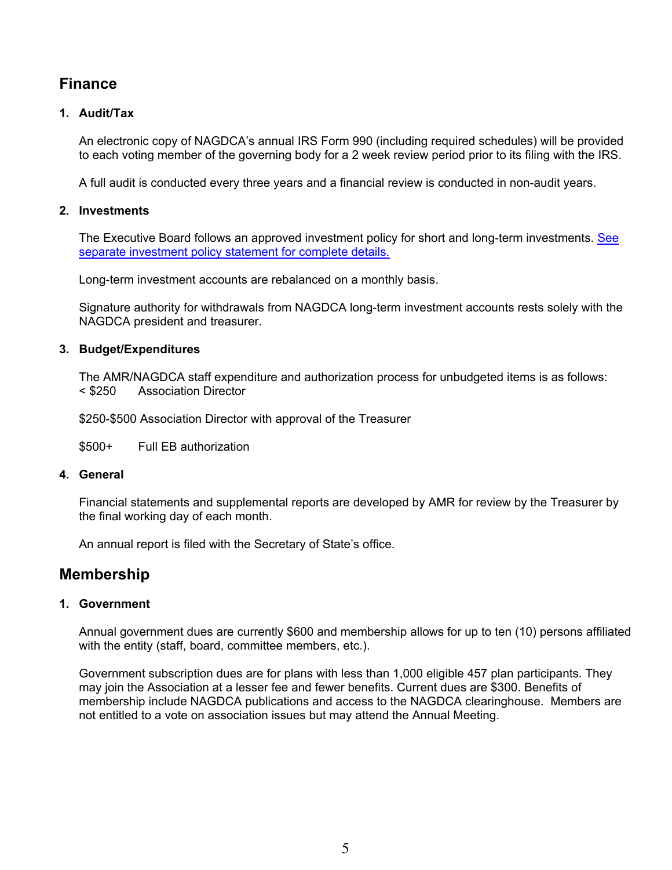# **Finance**

# **1. Audit/Tax**

An electronic copy of NAGDCA's annual IRS Form 990 (including required schedules) will be provided to each voting member of the governing body for a 2 week review period prior to its filing with the IRS.

A full audit is conducted every three years and a financial review is conducted in non-audit years.

# **2. Investments**

The Executive Board follows an approved investment policy for short and long-term investments. [See](https://amr.sharepoint.com/:b:/s/amrfiles/EbPFJ6MnhXZGtwMxTqPNnmgBuPNiU69nTL8SeMJp9sqesQ?e=ayTirk)  [separate investment policy statement for complete details.](https://amr.sharepoint.com/:b:/s/amrfiles/EbPFJ6MnhXZGtwMxTqPNnmgBuPNiU69nTL8SeMJp9sqesQ?e=ayTirk)

Long-term investment accounts are rebalanced on a monthly basis.

Signature authority for withdrawals from NAGDCA long-term investment accounts rests solely with the NAGDCA president and treasurer.

#### **3. Budget/Expenditures**

The AMR/NAGDCA staff expenditure and authorization process for unbudgeted items is as follows: < \$250 Association Director

\$250-\$500 Association Director with approval of the Treasurer

\$500+ Full EB authorization

#### **4. General**

Financial statements and supplemental reports are developed by AMR for review by the Treasurer by the final working day of each month.

An annual report is filed with the Secretary of State's office.

# **Membership**

#### **1. Government**

Annual government dues are currently \$600 and membership allows for up to ten (10) persons affiliated with the entity (staff, board, committee members, etc.).

Government subscription dues are for plans with less than 1,000 eligible 457 plan participants. They may join the Association at a lesser fee and fewer benefits. Current dues are \$300. Benefits of membership include NAGDCA publications and access to the NAGDCA clearinghouse. Members are not entitled to a vote on association issues but may attend the Annual Meeting.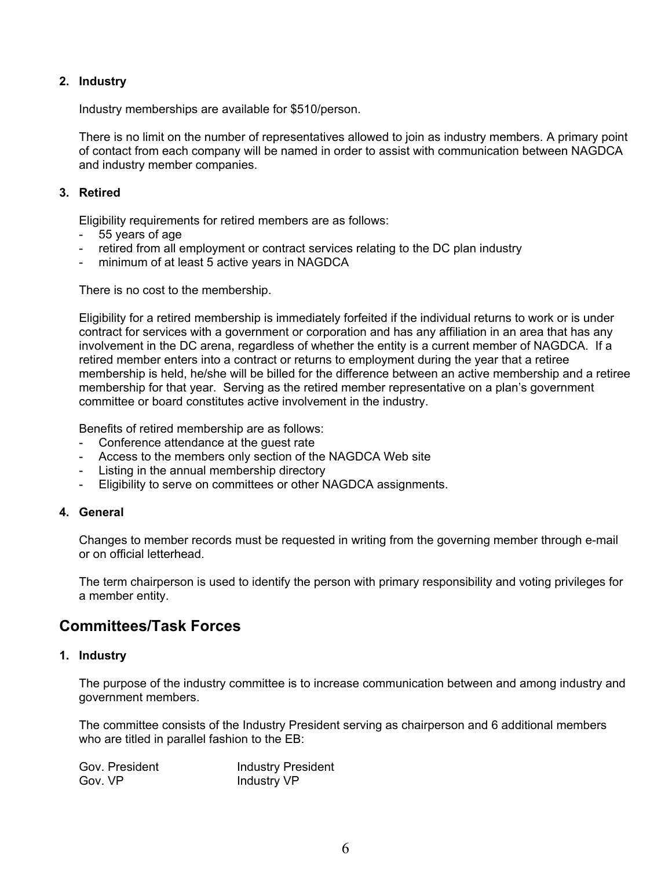# **2. Industry**

Industry memberships are available for \$510/person.

There is no limit on the number of representatives allowed to join as industry members. A primary point of contact from each company will be named in order to assist with communication between NAGDCA and industry member companies.

# **3. Retired**

Eligibility requirements for retired members are as follows:

- 55 years of age
- retired from all employment or contract services relating to the DC plan industry
- minimum of at least 5 active years in NAGDCA

There is no cost to the membership.

Eligibility for a retired membership is immediately forfeited if the individual returns to work or is under contract for services with a government or corporation and has any affiliation in an area that has any involvement in the DC arena, regardless of whether the entity is a current member of NAGDCA. If a retired member enters into a contract or returns to employment during the year that a retiree membership is held, he/she will be billed for the difference between an active membership and a retiree membership for that year. Serving as the retired member representative on a plan's government committee or board constitutes active involvement in the industry.

Benefits of retired membership are as follows:

- Conference attendance at the guest rate
- Access to the members only section of the NAGDCA Web site
- Listing in the annual membership directory
- Eligibility to serve on committees or other NAGDCA assignments.

# **4. General**

Changes to member records must be requested in writing from the governing member through e-mail or on official letterhead.

The term chairperson is used to identify the person with primary responsibility and voting privileges for a member entity.

# **Committees/Task Forces**

#### **1. Industry**

The purpose of the industry committee is to increase communication between and among industry and government members.

The committee consists of the Industry President serving as chairperson and 6 additional members who are titled in parallel fashion to the EB:

| Gov. President | <b>Industry President</b> |
|----------------|---------------------------|
| Gov. VP        | Industry VP               |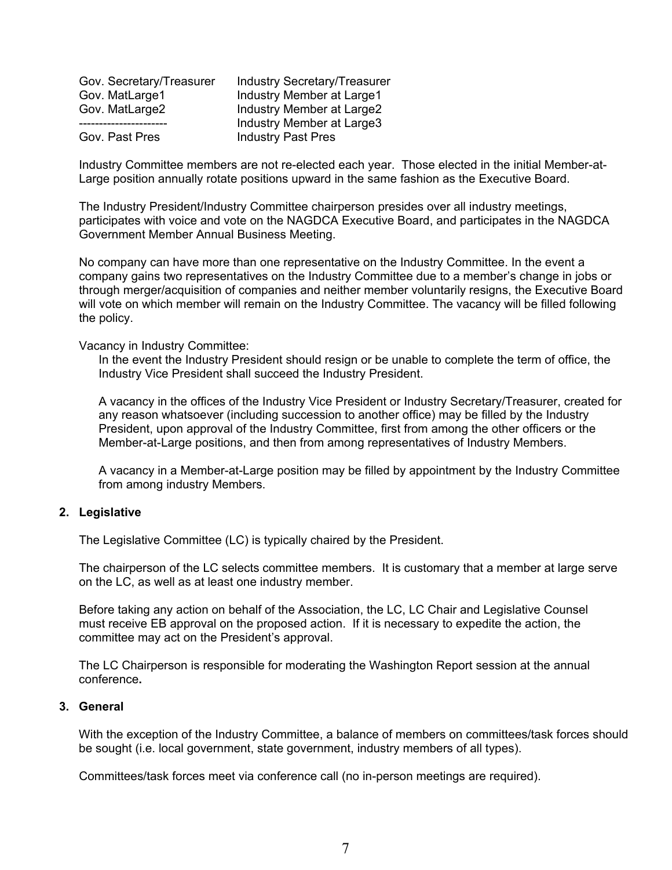| Gov. Secretary/Treasurer | <b>Industry Secretary/Treasurer</b> |
|--------------------------|-------------------------------------|
| Gov. MatLarge1           | Industry Member at Large1           |
| Gov. MatLarge2           | Industry Member at Large2           |
|                          | Industry Member at Large3           |
| Gov. Past Pres           | <b>Industry Past Pres</b>           |

Industry Committee members are not re-elected each year. Those elected in the initial Member-at-Large position annually rotate positions upward in the same fashion as the Executive Board.

The Industry President/Industry Committee chairperson presides over all industry meetings, participates with voice and vote on the NAGDCA Executive Board, and participates in the NAGDCA Government Member Annual Business Meeting.

No company can have more than one representative on the Industry Committee. In the event a company gains two representatives on the Industry Committee due to a member's change in jobs or through merger/acquisition of companies and neither member voluntarily resigns, the Executive Board will vote on which member will remain on the Industry Committee. The vacancy will be filled following the policy.

Vacancy in Industry Committee:

In the event the Industry President should resign or be unable to complete the term of office, the Industry Vice President shall succeed the Industry President.

A vacancy in the offices of the Industry Vice President or Industry Secretary/Treasurer, created for any reason whatsoever (including succession to another office) may be filled by the Industry President, upon approval of the Industry Committee, first from among the other officers or the Member-at-Large positions, and then from among representatives of Industry Members.

A vacancy in a Member-at-Large position may be filled by appointment by the Industry Committee from among industry Members.

#### **2. Legislative**

The Legislative Committee (LC) is typically chaired by the President.

The chairperson of the LC selects committee members. It is customary that a member at large serve on the LC, as well as at least one industry member.

Before taking any action on behalf of the Association, the LC, LC Chair and Legislative Counsel must receive EB approval on the proposed action. If it is necessary to expedite the action, the committee may act on the President's approval.

The LC Chairperson is responsible for moderating the Washington Report session at the annual conference**.**

#### **3. General**

With the exception of the Industry Committee, a balance of members on committees/task forces should be sought (i.e. local government, state government, industry members of all types).

Committees/task forces meet via conference call (no in-person meetings are required).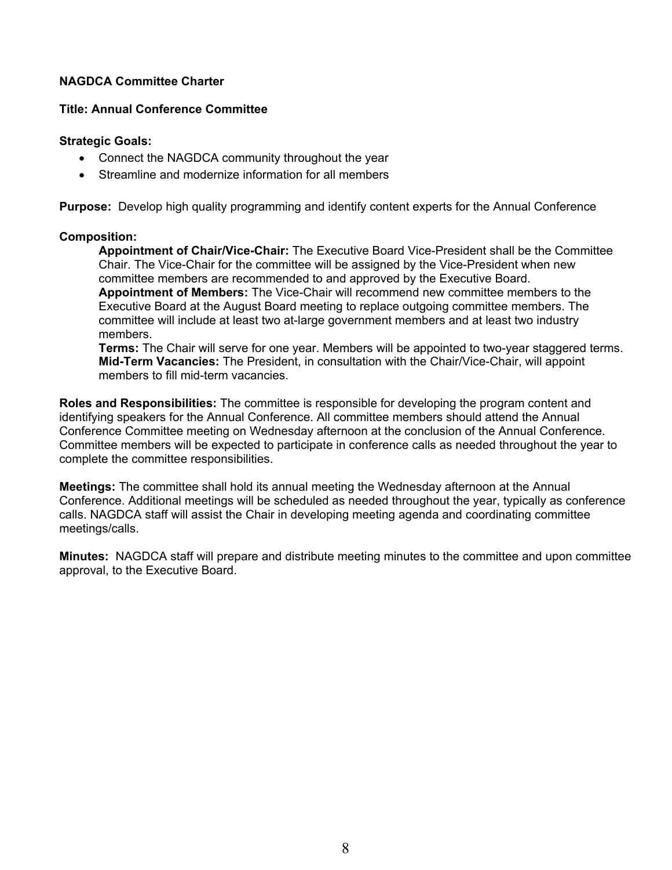# **Title: Annual Conference Committee**

## **Strategic Goals:**

- Connect the NAGDCA community throughout the year
- Streamline and modernize information for all members

**Purpose:** Develop high quality programming and identify content experts for the Annual Conference

#### **Composition:**

**Appointment of Chair/Vice-Chair:** The Executive Board Vice-President shall be the Committee Chair. The Vice-Chair for the committee will be assigned by the Vice-President when new committee members are recommended to and approved by the Executive Board. **Appointment of Members:** The Vice-Chair will recommend new committee members to the Executive Board at the August Board meeting to replace outgoing committee members. The committee will include at least two at-large government members and at least two industry members.

**Terms:** The Chair will serve for one year. Members will be appointed to two-year staggered terms. **Mid-Term Vacancies:** The President, in consultation with the Chair/Vice-Chair, will appoint members to fill mid-term vacancies.

**Roles and Responsibilities:** The committee is responsible for developing the program content and identifying speakers for the Annual Conference. All committee members should attend the Annual Conference Committee meeting on Wednesday afternoon at the conclusion of the Annual Conference. Committee members will be expected to participate in conference calls as needed throughout the year to complete the committee responsibilities.

**Meetings:** The committee shall hold its annual meeting the Wednesday afternoon at the Annual Conference. Additional meetings will be scheduled as needed throughout the year, typically as conference calls. NAGDCA staff will assist the Chair in developing meeting agenda and coordinating committee meetings/calls.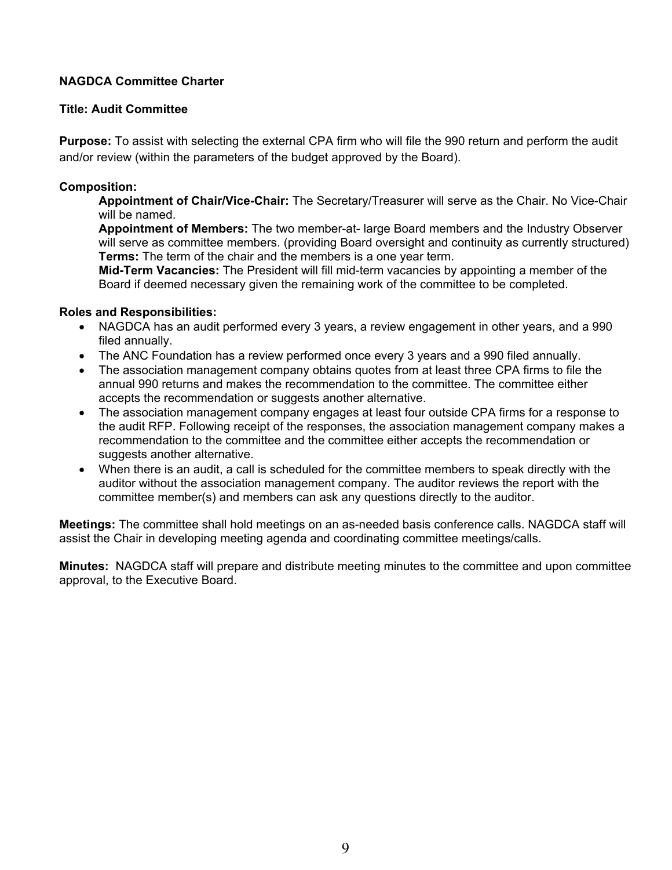# **Title: Audit Committee**

**Purpose:** To assist with selecting the external CPA firm who will file the 990 return and perform the audit and/or review (within the parameters of the budget approved by the Board).

#### **Composition:**

**Appointment of Chair/Vice-Chair:** The Secretary/Treasurer will serve as the Chair. No Vice-Chair will be named.

**Appointment of Members:** The two member-at- large Board members and the Industry Observer will serve as committee members. (providing Board oversight and continuity as currently structured) **Terms:** The term of the chair and the members is a one year term.

**Mid-Term Vacancies:** The President will fill mid-term vacancies by appointing a member of the Board if deemed necessary given the remaining work of the committee to be completed.

#### **Roles and Responsibilities:**

- NAGDCA has an audit performed every 3 years, a review engagement in other years, and a 990 filed annually.
- The ANC Foundation has a review performed once every 3 years and a 990 filed annually.
- The association management company obtains quotes from at least three CPA firms to file the annual 990 returns and makes the recommendation to the committee. The committee either accepts the recommendation or suggests another alternative.
- The association management company engages at least four outside CPA firms for a response to the audit RFP. Following receipt of the responses, the association management company makes a recommendation to the committee and the committee either accepts the recommendation or suggests another alternative.
- When there is an audit, a call is scheduled for the committee members to speak directly with the auditor without the association management company. The auditor reviews the report with the committee member(s) and members can ask any questions directly to the auditor.

**Meetings:** The committee shall hold meetings on an as-needed basis conference calls. NAGDCA staff will assist the Chair in developing meeting agenda and coordinating committee meetings/calls.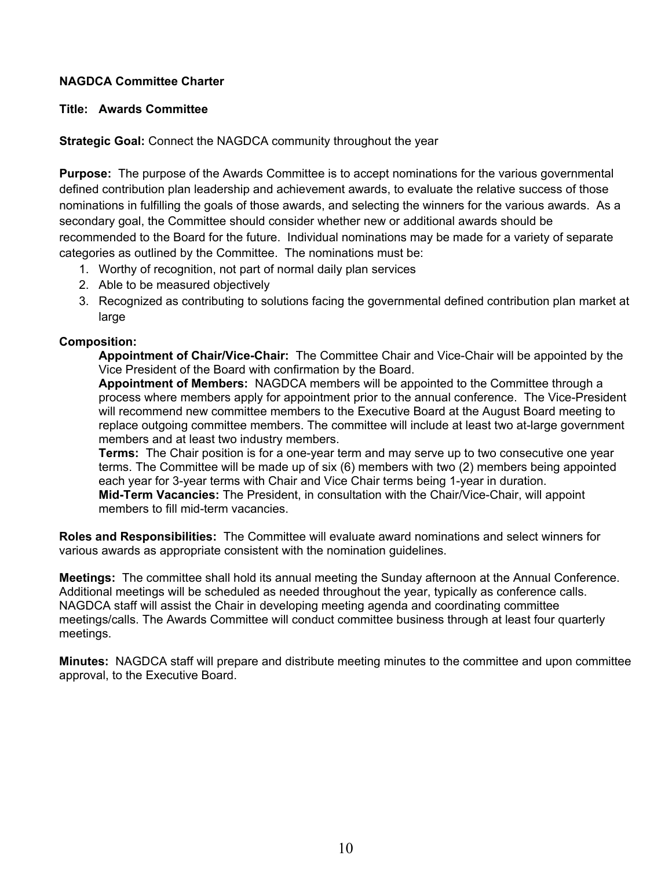# **Title: Awards Committee**

**Strategic Goal:** Connect the NAGDCA community throughout the year

**Purpose:** The purpose of the Awards Committee is to accept nominations for the various governmental defined contribution plan leadership and achievement awards, to evaluate the relative success of those nominations in fulfilling the goals of those awards, and selecting the winners for the various awards. As a secondary goal, the Committee should consider whether new or additional awards should be recommended to the Board for the future. Individual nominations may be made for a variety of separate categories as outlined by the Committee. The nominations must be:

- 1. Worthy of recognition, not part of normal daily plan services
- 2. Able to be measured objectively
- 3. Recognized as contributing to solutions facing the governmental defined contribution plan market at large

# **Composition:**

**Appointment of Chair/Vice-Chair:** The Committee Chair and Vice-Chair will be appointed by the Vice President of the Board with confirmation by the Board.

**Appointment of Members:** NAGDCA members will be appointed to the Committee through a process where members apply for appointment prior to the annual conference. The Vice-President will recommend new committee members to the Executive Board at the August Board meeting to replace outgoing committee members. The committee will include at least two at-large government members and at least two industry members.

**Terms:** The Chair position is for a one-year term and may serve up to two consecutive one year terms. The Committee will be made up of six (6) members with two (2) members being appointed each year for 3-year terms with Chair and Vice Chair terms being 1-year in duration. **Mid-Term Vacancies:** The President, in consultation with the Chair/Vice-Chair, will appoint members to fill mid-term vacancies.

**Roles and Responsibilities:** The Committee will evaluate award nominations and select winners for various awards as appropriate consistent with the nomination guidelines.

**Meetings:** The committee shall hold its annual meeting the Sunday afternoon at the Annual Conference. Additional meetings will be scheduled as needed throughout the year, typically as conference calls. NAGDCA staff will assist the Chair in developing meeting agenda and coordinating committee meetings/calls. The Awards Committee will conduct committee business through at least four quarterly meetings.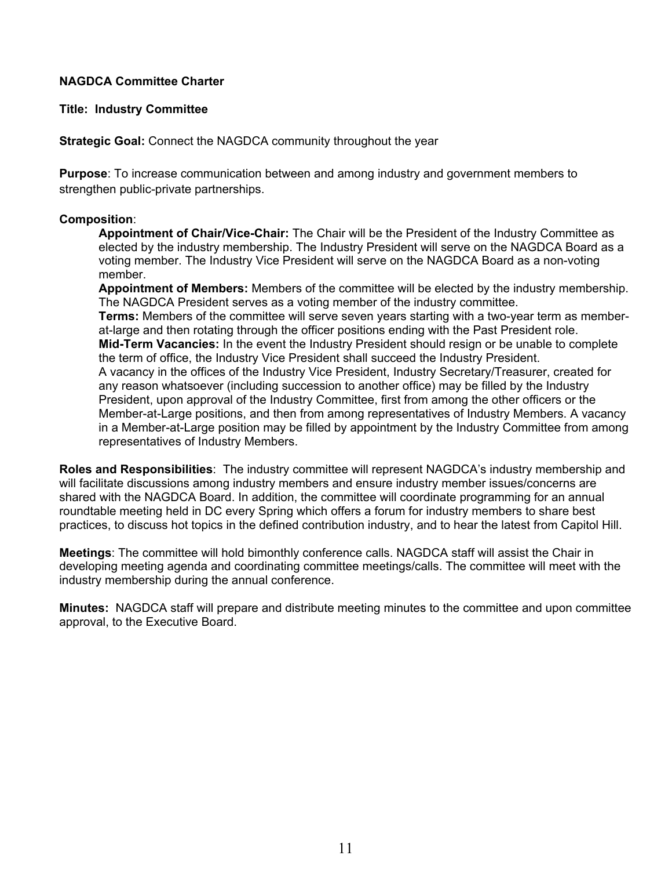# **Title: Industry Committee**

**Strategic Goal:** Connect the NAGDCA community throughout the year

**Purpose**: To increase communication between and among industry and government members to strengthen public-private partnerships.

# **Composition**:

**Appointment of Chair/Vice-Chair:** The Chair will be the President of the Industry Committee as elected by the industry membership. The Industry President will serve on the NAGDCA Board as a voting member. The Industry Vice President will serve on the NAGDCA Board as a non-voting member.

**Appointment of Members:** Members of the committee will be elected by the industry membership. The NAGDCA President serves as a voting member of the industry committee. **Terms:** Members of the committee will serve seven years starting with a two-year term as memberat-large and then rotating through the officer positions ending with the Past President role. **Mid-Term Vacancies:** In the event the Industry President should resign or be unable to complete the term of office, the Industry Vice President shall succeed the Industry President. A vacancy in the offices of the Industry Vice President, Industry Secretary/Treasurer, created for any reason whatsoever (including succession to another office) may be filled by the Industry President, upon approval of the Industry Committee, first from among the other officers or the Member-at-Large positions, and then from among representatives of Industry Members. A vacancy in a Member-at-Large position may be filled by appointment by the Industry Committee from among representatives of Industry Members.

**Roles and Responsibilities**: The industry committee will represent NAGDCA's industry membership and will facilitate discussions among industry members and ensure industry member issues/concerns are shared with the NAGDCA Board. In addition, the committee will coordinate programming for an annual roundtable meeting held in DC every Spring which offers a forum for industry members to share best practices, to discuss hot topics in the defined contribution industry, and to hear the latest from Capitol Hill.

**Meetings**: The committee will hold bimonthly conference calls. NAGDCA staff will assist the Chair in developing meeting agenda and coordinating committee meetings/calls. The committee will meet with the industry membership during the annual conference.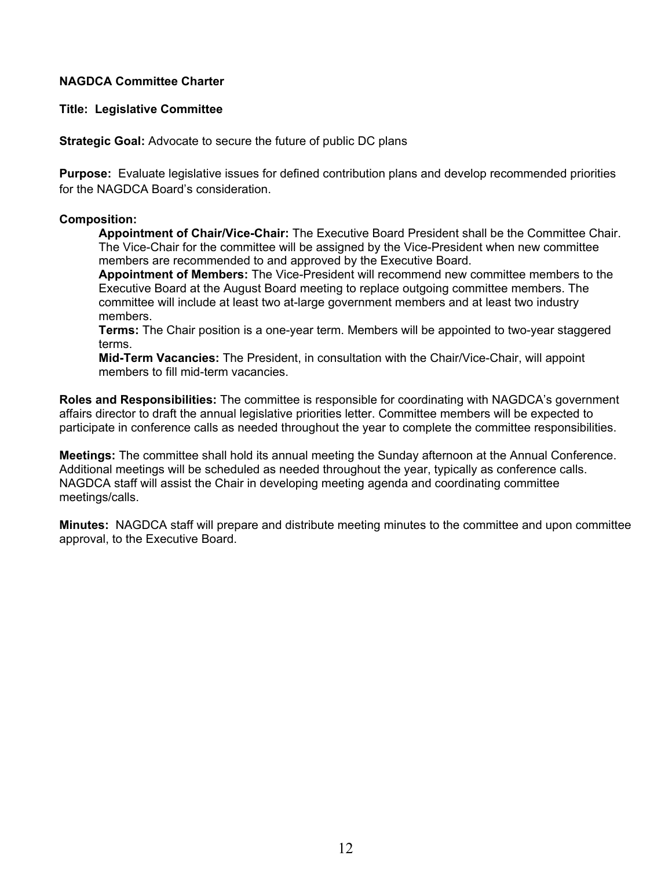**Title: Legislative Committee**

**Strategic Goal:** Advocate to secure the future of public DC plans

**Purpose:** Evaluate legislative issues for defined contribution plans and develop recommended priorities for the NAGDCA Board's consideration.

#### **Composition:**

**Appointment of Chair/Vice-Chair:** The Executive Board President shall be the Committee Chair. The Vice-Chair for the committee will be assigned by the Vice-President when new committee members are recommended to and approved by the Executive Board.

**Appointment of Members:** The Vice-President will recommend new committee members to the Executive Board at the August Board meeting to replace outgoing committee members. The committee will include at least two at-large government members and at least two industry members.

**Terms:** The Chair position is a one-year term. Members will be appointed to two-year staggered terms.

**Mid-Term Vacancies:** The President, in consultation with the Chair/Vice-Chair, will appoint members to fill mid-term vacancies.

**Roles and Responsibilities:** The committee is responsible for coordinating with NAGDCA's government affairs director to draft the annual legislative priorities letter. Committee members will be expected to participate in conference calls as needed throughout the year to complete the committee responsibilities.

**Meetings:** The committee shall hold its annual meeting the Sunday afternoon at the Annual Conference. Additional meetings will be scheduled as needed throughout the year, typically as conference calls. NAGDCA staff will assist the Chair in developing meeting agenda and coordinating committee meetings/calls.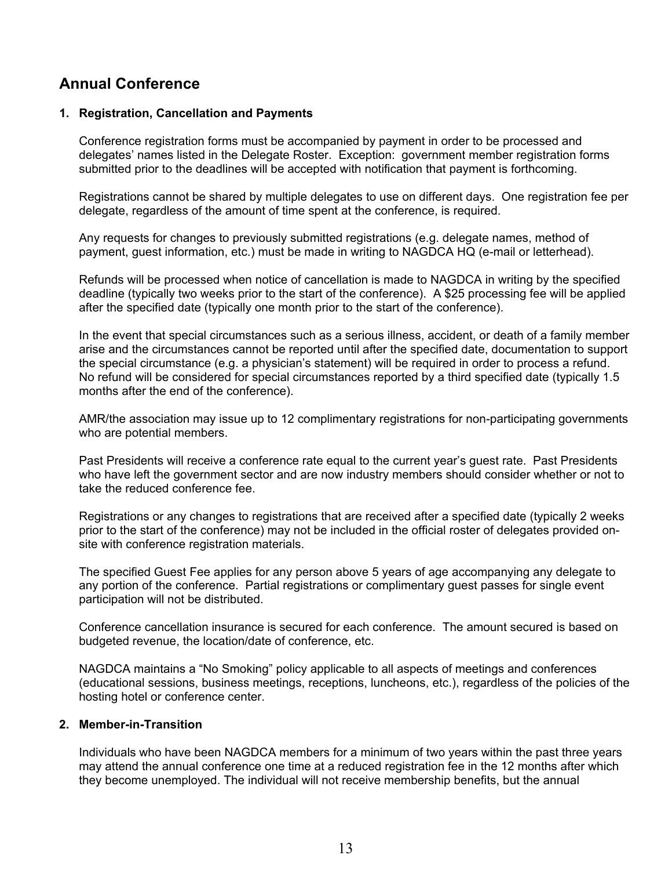# **Annual Conference**

#### **1. Registration, Cancellation and Payments**

Conference registration forms must be accompanied by payment in order to be processed and delegates' names listed in the Delegate Roster. Exception: government member registration forms submitted prior to the deadlines will be accepted with notification that payment is forthcoming.

Registrations cannot be shared by multiple delegates to use on different days. One registration fee per delegate, regardless of the amount of time spent at the conference, is required.

Any requests for changes to previously submitted registrations (e.g. delegate names, method of payment, guest information, etc.) must be made in writing to NAGDCA HQ (e-mail or letterhead).

Refunds will be processed when notice of cancellation is made to NAGDCA in writing by the specified deadline (typically two weeks prior to the start of the conference). A \$25 processing fee will be applied after the specified date (typically one month prior to the start of the conference).

In the event that special circumstances such as a serious illness, accident, or death of a family member arise and the circumstances cannot be reported until after the specified date, documentation to support the special circumstance (e.g. a physician's statement) will be required in order to process a refund. No refund will be considered for special circumstances reported by a third specified date (typically 1.5 months after the end of the conference).

AMR/the association may issue up to 12 complimentary registrations for non-participating governments who are potential members.

Past Presidents will receive a conference rate equal to the current year's guest rate. Past Presidents who have left the government sector and are now industry members should consider whether or not to take the reduced conference fee.

Registrations or any changes to registrations that are received after a specified date (typically 2 weeks prior to the start of the conference) may not be included in the official roster of delegates provided onsite with conference registration materials.

The specified Guest Fee applies for any person above 5 years of age accompanying any delegate to any portion of the conference. Partial registrations or complimentary guest passes for single event participation will not be distributed.

Conference cancellation insurance is secured for each conference. The amount secured is based on budgeted revenue, the location/date of conference, etc.

NAGDCA maintains a "No Smoking" policy applicable to all aspects of meetings and conferences (educational sessions, business meetings, receptions, luncheons, etc.), regardless of the policies of the hosting hotel or conference center.

# **2. Member-in-Transition**

Individuals who have been NAGDCA members for a minimum of two years within the past three years may attend the annual conference one time at a reduced registration fee in the 12 months after which they become unemployed. The individual will not receive membership benefits, but the annual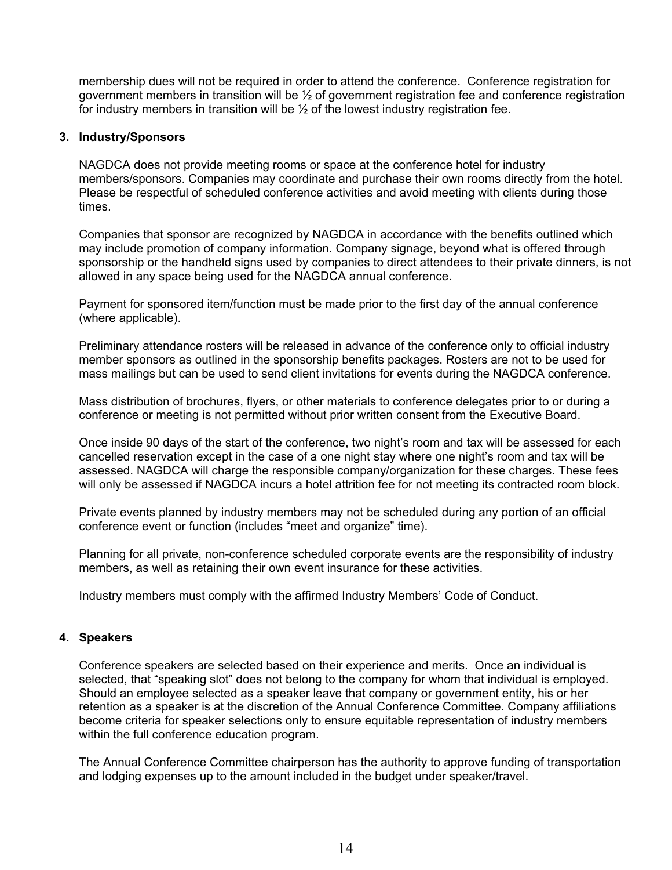membership dues will not be required in order to attend the conference. Conference registration for government members in transition will be  $\frac{1}{2}$  of government registration fee and conference registration for industry members in transition will be ½ of the lowest industry registration fee.

#### **3. Industry/Sponsors**

NAGDCA does not provide meeting rooms or space at the conference hotel for industry members/sponsors. Companies may coordinate and purchase their own rooms directly from the hotel. Please be respectful of scheduled conference activities and avoid meeting with clients during those times.

Companies that sponsor are recognized by NAGDCA in accordance with the benefits outlined which may include promotion of company information. Company signage, beyond what is offered through sponsorship or the handheld signs used by companies to direct attendees to their private dinners, is not allowed in any space being used for the NAGDCA annual conference.

Payment for sponsored item/function must be made prior to the first day of the annual conference (where applicable).

Preliminary attendance rosters will be released in advance of the conference only to official industry member sponsors as outlined in the sponsorship benefits packages. Rosters are not to be used for mass mailings but can be used to send client invitations for events during the NAGDCA conference.

Mass distribution of brochures, flyers, or other materials to conference delegates prior to or during a conference or meeting is not permitted without prior written consent from the Executive Board.

Once inside 90 days of the start of the conference, two night's room and tax will be assessed for each cancelled reservation except in the case of a one night stay where one night's room and tax will be assessed. NAGDCA will charge the responsible company/organization for these charges. These fees will only be assessed if NAGDCA incurs a hotel attrition fee for not meeting its contracted room block.

Private events planned by industry members may not be scheduled during any portion of an official conference event or function (includes "meet and organize" time).

Planning for all private, non-conference scheduled corporate events are the responsibility of industry members, as well as retaining their own event insurance for these activities.

Industry members must comply with the affirmed Industry Members' Code of Conduct.

# **4. Speakers**

Conference speakers are selected based on their experience and merits. Once an individual is selected, that "speaking slot" does not belong to the company for whom that individual is employed. Should an employee selected as a speaker leave that company or government entity, his or her retention as a speaker is at the discretion of the Annual Conference Committee. Company affiliations become criteria for speaker selections only to ensure equitable representation of industry members within the full conference education program.

The Annual Conference Committee chairperson has the authority to approve funding of transportation and lodging expenses up to the amount included in the budget under speaker/travel.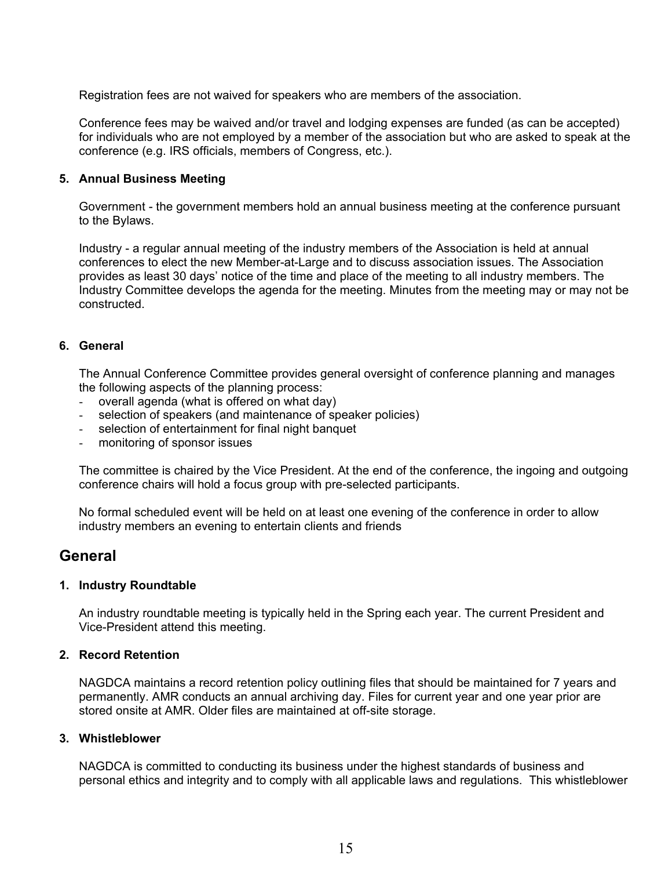Registration fees are not waived for speakers who are members of the association.

Conference fees may be waived and/or travel and lodging expenses are funded (as can be accepted) for individuals who are not employed by a member of the association but who are asked to speak at the conference (e.g. IRS officials, members of Congress, etc.).

#### **5. Annual Business Meeting**

Government - the government members hold an annual business meeting at the conference pursuant to the Bylaws.

Industry - a regular annual meeting of the industry members of the Association is held at annual conferences to elect the new Member-at-Large and to discuss association issues. The Association provides as least 30 days' notice of the time and place of the meeting to all industry members. The Industry Committee develops the agenda for the meeting. Minutes from the meeting may or may not be constructed.

#### **6. General**

The Annual Conference Committee provides general oversight of conference planning and manages the following aspects of the planning process:

- overall agenda (what is offered on what day)
- selection of speakers (and maintenance of speaker policies)
- selection of entertainment for final night banquet
- monitoring of sponsor issues

The committee is chaired by the Vice President. At the end of the conference, the ingoing and outgoing conference chairs will hold a focus group with pre-selected participants.

No formal scheduled event will be held on at least one evening of the conference in order to allow industry members an evening to entertain clients and friends

# **General**

#### **1. Industry Roundtable**

An industry roundtable meeting is typically held in the Spring each year. The current President and Vice-President attend this meeting.

# **2. Record Retention**

NAGDCA maintains a record retention policy outlining files that should be maintained for 7 years and permanently. AMR conducts an annual archiving day. Files for current year and one year prior are stored onsite at AMR. Older files are maintained at off-site storage.

#### **3. Whistleblower**

NAGDCA is committed to conducting its business under the highest standards of business and personal ethics and integrity and to comply with all applicable laws and regulations. This whistleblower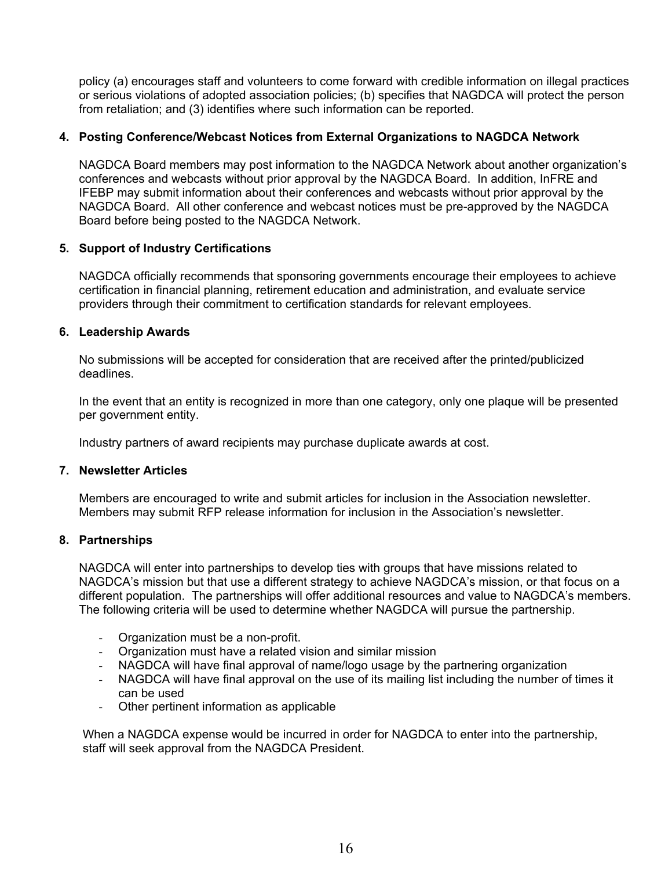policy (a) encourages staff and volunteers to come forward with credible information on illegal practices or serious violations of adopted association policies; (b) specifies that NAGDCA will protect the person from retaliation; and (3) identifies where such information can be reported.

#### **4. Posting Conference/Webcast Notices from External Organizations to NAGDCA Network**

NAGDCA Board members may post information to the NAGDCA Network about another organization's conferences and webcasts without prior approval by the NAGDCA Board. In addition, InFRE and IFEBP may submit information about their conferences and webcasts without prior approval by the NAGDCA Board. All other conference and webcast notices must be pre-approved by the NAGDCA Board before being posted to the NAGDCA Network.

#### **5. Support of Industry Certifications**

NAGDCA officially recommends that sponsoring governments encourage their employees to achieve certification in financial planning, retirement education and administration, and evaluate service providers through their commitment to certification standards for relevant employees.

#### **6. Leadership Awards**

No submissions will be accepted for consideration that are received after the printed/publicized deadlines.

In the event that an entity is recognized in more than one category, only one plaque will be presented per government entity.

Industry partners of award recipients may purchase duplicate awards at cost.

#### **7. Newsletter Articles**

Members are encouraged to write and submit articles for inclusion in the Association newsletter. Members may submit RFP release information for inclusion in the Association's newsletter.

#### **8. Partnerships**

NAGDCA will enter into partnerships to develop ties with groups that have missions related to NAGDCA's mission but that use a different strategy to achieve NAGDCA's mission, or that focus on a different population. The partnerships will offer additional resources and value to NAGDCA's members. The following criteria will be used to determine whether NAGDCA will pursue the partnership.

- Organization must be a non-profit.
- Organization must have a related vision and similar mission
- NAGDCA will have final approval of name/logo usage by the partnering organization
- NAGDCA will have final approval on the use of its mailing list including the number of times it can be used
- Other pertinent information as applicable

 When a NAGDCA expense would be incurred in order for NAGDCA to enter into the partnership, staff will seek approval from the NAGDCA President.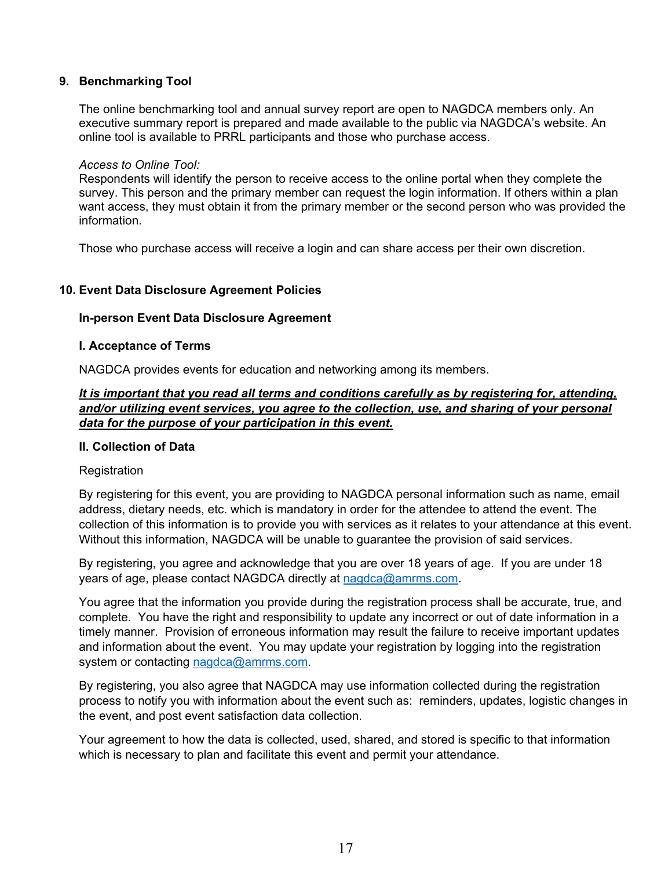# **9. Benchmarking Tool**

The online benchmarking tool and annual survey report are open to NAGDCA members only. An executive summary report is prepared and made available to the public via NAGDCA's website. An online tool is available to PRRL participants and those who purchase access.

#### *Access to Online Tool:*

Respondents will identify the person to receive access to the online portal when they complete the survey. This person and the primary member can request the login information. If others within a plan want access, they must obtain it from the primary member or the second person who was provided the information.

Those who purchase access will receive a login and can share access per their own discretion.

#### **10. Event Data Disclosure Agreement Policies**

#### **In-person Event Data Disclosure Agreement**

#### **I. Acceptance of Terms**

NAGDCA provides events for education and networking among its members.

# *It is important that you read all terms and conditions carefully as by registering for, attending, and/or utilizing event services, you agree to the collection, use, and sharing of your personal data for the purpose of your participation in this event.*

#### **II. Collection of Data**

#### **Registration**

By registering for this event, you are providing to NAGDCA personal information such as name, email address, dietary needs, etc. which is mandatory in order for the attendee to attend the event. The collection of this information is to provide you with services as it relates to your attendance at this event. Without this information, NAGDCA will be unable to guarantee the provision of said services.

By registering, you agree and acknowledge that you are over 18 years of age. If you are under 18 years of age, please contact NAGDCA directly at [nagdca@amrms.com.](mailto:nagdca@amrms.com)

You agree that the information you provide during the registration process shall be accurate, true, and complete. You have the right and responsibility to update any incorrect or out of date information in a timely manner. Provision of erroneous information may result the failure to receive important updates and information about the event. You may update your registration by logging into the registration system or contacting [nagdca@amrms.com.](mailto:nagdca@amrms.com)

By registering, you also agree that NAGDCA may use information collected during the registration process to notify you with information about the event such as: reminders, updates, logistic changes in the event, and post event satisfaction data collection.

Your agreement to how the data is collected, used, shared, and stored is specific to that information which is necessary to plan and facilitate this event and permit your attendance.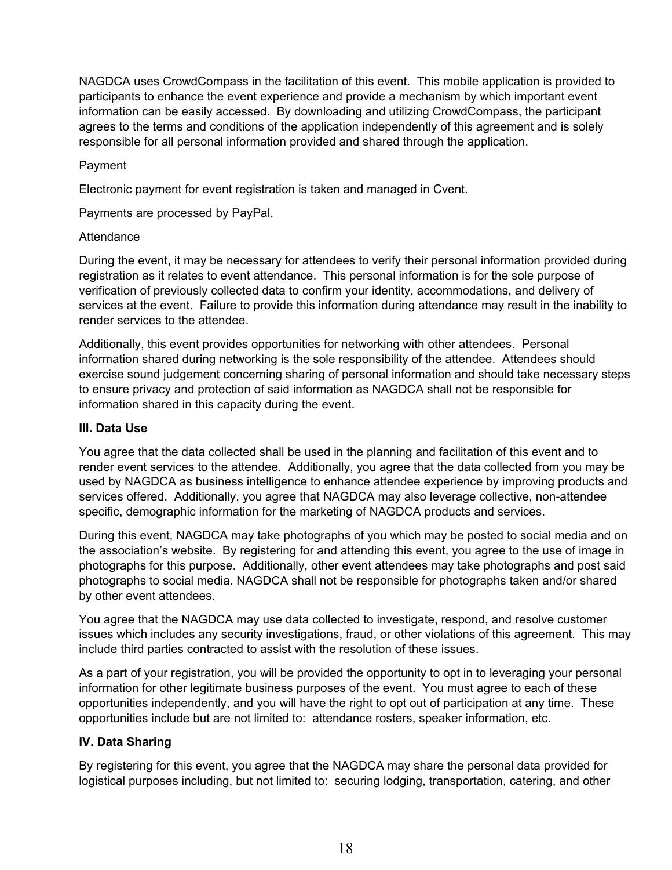NAGDCA uses CrowdCompass in the facilitation of this event. This mobile application is provided to participants to enhance the event experience and provide a mechanism by which important event information can be easily accessed. By downloading and utilizing CrowdCompass, the participant agrees to the terms and conditions of the application independently of this agreement and is solely responsible for all personal information provided and shared through the application.

# Payment

Electronic payment for event registration is taken and managed in Cvent.

Payments are processed by PayPal.

# **Attendance**

During the event, it may be necessary for attendees to verify their personal information provided during registration as it relates to event attendance. This personal information is for the sole purpose of verification of previously collected data to confirm your identity, accommodations, and delivery of services at the event. Failure to provide this information during attendance may result in the inability to render services to the attendee.

Additionally, this event provides opportunities for networking with other attendees. Personal information shared during networking is the sole responsibility of the attendee. Attendees should exercise sound judgement concerning sharing of personal information and should take necessary steps to ensure privacy and protection of said information as NAGDCA shall not be responsible for information shared in this capacity during the event.

# **III. Data Use**

You agree that the data collected shall be used in the planning and facilitation of this event and to render event services to the attendee. Additionally, you agree that the data collected from you may be used by NAGDCA as business intelligence to enhance attendee experience by improving products and services offered. Additionally, you agree that NAGDCA may also leverage collective, non-attendee specific, demographic information for the marketing of NAGDCA products and services.

During this event, NAGDCA may take photographs of you which may be posted to social media and on the association's website. By registering for and attending this event, you agree to the use of image in photographs for this purpose. Additionally, other event attendees may take photographs and post said photographs to social media. NAGDCA shall not be responsible for photographs taken and/or shared by other event attendees.

You agree that the NAGDCA may use data collected to investigate, respond, and resolve customer issues which includes any security investigations, fraud, or other violations of this agreement. This may include third parties contracted to assist with the resolution of these issues.

As a part of your registration, you will be provided the opportunity to opt in to leveraging your personal information for other legitimate business purposes of the event. You must agree to each of these opportunities independently, and you will have the right to opt out of participation at any time. These opportunities include but are not limited to: attendance rosters, speaker information, etc.

# **IV. Data Sharing**

By registering for this event, you agree that the NAGDCA may share the personal data provided for logistical purposes including, but not limited to: securing lodging, transportation, catering, and other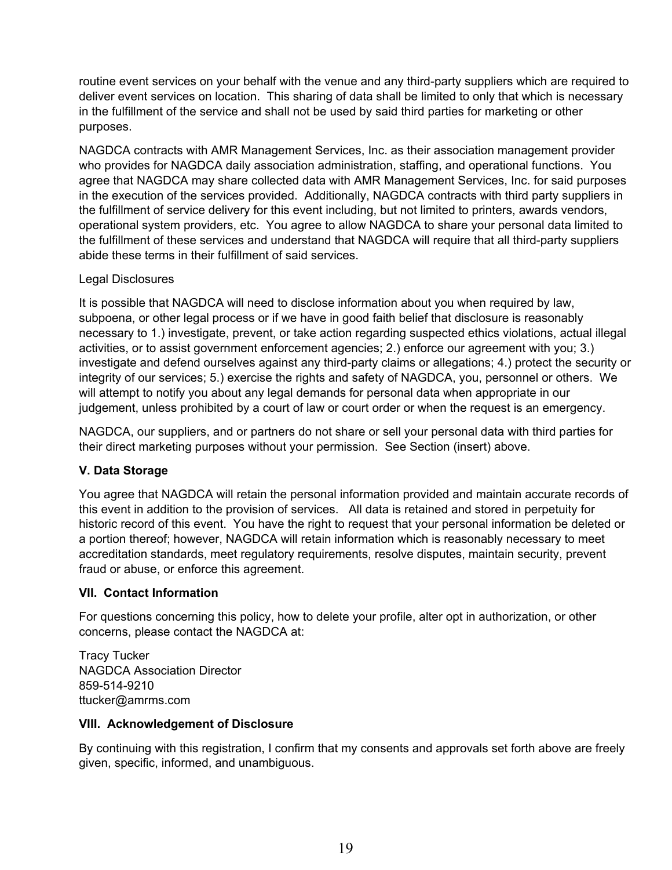routine event services on your behalf with the venue and any third-party suppliers which are required to deliver event services on location. This sharing of data shall be limited to only that which is necessary in the fulfillment of the service and shall not be used by said third parties for marketing or other purposes.

NAGDCA contracts with AMR Management Services, Inc. as their association management provider who provides for NAGDCA daily association administration, staffing, and operational functions. You agree that NAGDCA may share collected data with AMR Management Services, Inc. for said purposes in the execution of the services provided. Additionally, NAGDCA contracts with third party suppliers in the fulfillment of service delivery for this event including, but not limited to printers, awards vendors, operational system providers, etc. You agree to allow NAGDCA to share your personal data limited to the fulfillment of these services and understand that NAGDCA will require that all third-party suppliers abide these terms in their fulfillment of said services.

# Legal Disclosures

It is possible that NAGDCA will need to disclose information about you when required by law, subpoena, or other legal process or if we have in good faith belief that disclosure is reasonably necessary to 1.) investigate, prevent, or take action regarding suspected ethics violations, actual illegal activities, or to assist government enforcement agencies; 2.) enforce our agreement with you; 3.) investigate and defend ourselves against any third-party claims or allegations; 4.) protect the security or integrity of our services; 5.) exercise the rights and safety of NAGDCA, you, personnel or others. We will attempt to notify you about any legal demands for personal data when appropriate in our judgement, unless prohibited by a court of law or court order or when the request is an emergency.

NAGDCA, our suppliers, and or partners do not share or sell your personal data with third parties for their direct marketing purposes without your permission. See Section (insert) above.

# **V. Data Storage**

You agree that NAGDCA will retain the personal information provided and maintain accurate records of this event in addition to the provision of services. All data is retained and stored in perpetuity for historic record of this event. You have the right to request that your personal information be deleted or a portion thereof; however, NAGDCA will retain information which is reasonably necessary to meet accreditation standards, meet regulatory requirements, resolve disputes, maintain security, prevent fraud or abuse, or enforce this agreement.

# **VII. Contact Information**

For questions concerning this policy, how to delete your profile, alter opt in authorization, or other concerns, please contact the NAGDCA at:

Tracy Tucker NAGDCA Association Director 859-514-9210 ttucker@amrms.com

# **VIII. Acknowledgement of Disclosure**

By continuing with this registration, I confirm that my consents and approvals set forth above are freely given, specific, informed, and unambiguous.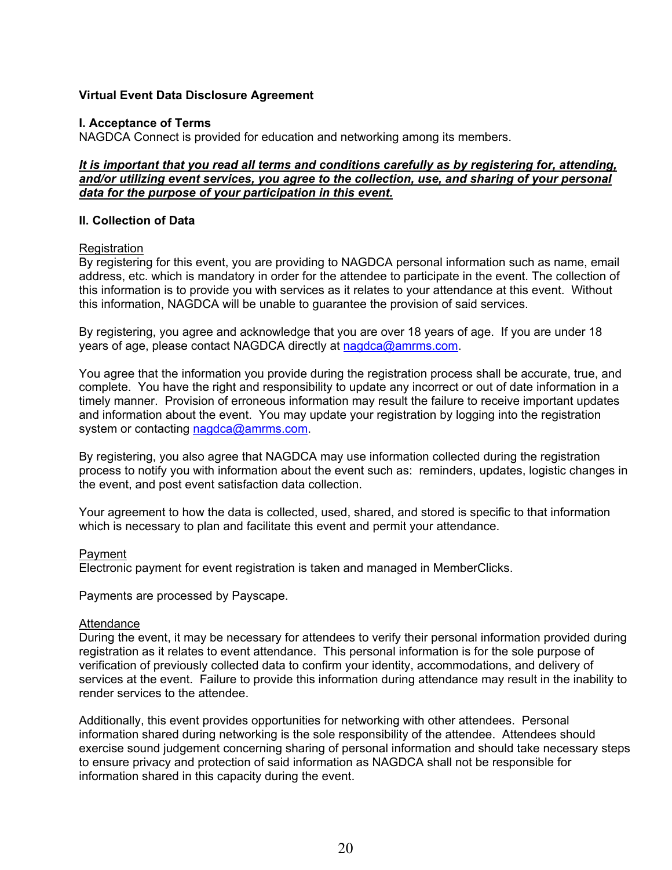## **Virtual Event Data Disclosure Agreement**

#### **I. Acceptance of Terms**

NAGDCA Connect is provided for education and networking among its members.

## *It is important that you read all terms and conditions carefully as by registering for, attending, and/or utilizing event services, you agree to the collection, use, and sharing of your personal data for the purpose of your participation in this event.*

#### **II. Collection of Data**

#### Registration

By registering for this event, you are providing to NAGDCA personal information such as name, email address, etc. which is mandatory in order for the attendee to participate in the event. The collection of this information is to provide you with services as it relates to your attendance at this event. Without this information, NAGDCA will be unable to guarantee the provision of said services.

By registering, you agree and acknowledge that you are over 18 years of age. If you are under 18 years of age, please contact NAGDCA directly at [nagdca@amrms.com.](mailto:nagdca@amrms.com)

You agree that the information you provide during the registration process shall be accurate, true, and complete. You have the right and responsibility to update any incorrect or out of date information in a timely manner. Provision of erroneous information may result the failure to receive important updates and information about the event. You may update your registration by logging into the registration system or contacting [nagdca@amrms.com.](mailto:nagdca@amrms.com)

By registering, you also agree that NAGDCA may use information collected during the registration process to notify you with information about the event such as: reminders, updates, logistic changes in the event, and post event satisfaction data collection.

Your agreement to how the data is collected, used, shared, and stored is specific to that information which is necessary to plan and facilitate this event and permit your attendance.

#### Payment

Electronic payment for event registration is taken and managed in MemberClicks.

Payments are processed by Payscape.

#### Attendance

During the event, it may be necessary for attendees to verify their personal information provided during registration as it relates to event attendance. This personal information is for the sole purpose of verification of previously collected data to confirm your identity, accommodations, and delivery of services at the event. Failure to provide this information during attendance may result in the inability to render services to the attendee.

Additionally, this event provides opportunities for networking with other attendees. Personal information shared during networking is the sole responsibility of the attendee. Attendees should exercise sound judgement concerning sharing of personal information and should take necessary steps to ensure privacy and protection of said information as NAGDCA shall not be responsible for information shared in this capacity during the event.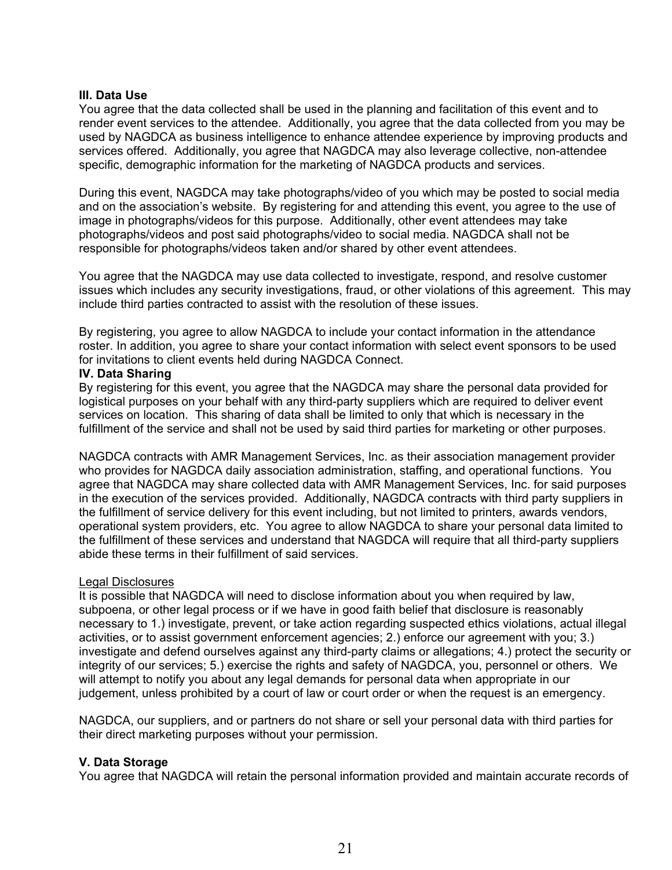#### **III. Data Use**

You agree that the data collected shall be used in the planning and facilitation of this event and to render event services to the attendee. Additionally, you agree that the data collected from you may be used by NAGDCA as business intelligence to enhance attendee experience by improving products and services offered. Additionally, you agree that NAGDCA may also leverage collective, non-attendee specific, demographic information for the marketing of NAGDCA products and services.

During this event, NAGDCA may take photographs/video of you which may be posted to social media and on the association's website. By registering for and attending this event, you agree to the use of image in photographs/videos for this purpose. Additionally, other event attendees may take photographs/videos and post said photographs/video to social media. NAGDCA shall not be responsible for photographs/videos taken and/or shared by other event attendees.

You agree that the NAGDCA may use data collected to investigate, respond, and resolve customer issues which includes any security investigations, fraud, or other violations of this agreement. This may include third parties contracted to assist with the resolution of these issues.

By registering, you agree to allow NAGDCA to include your contact information in the attendance roster. In addition, you agree to share your contact information with select event sponsors to be used for invitations to client events held during NAGDCA Connect.

#### **IV. Data Sharing**

By registering for this event, you agree that the NAGDCA may share the personal data provided for logistical purposes on your behalf with any third-party suppliers which are required to deliver event services on location. This sharing of data shall be limited to only that which is necessary in the fulfillment of the service and shall not be used by said third parties for marketing or other purposes.

NAGDCA contracts with AMR Management Services, Inc. as their association management provider who provides for NAGDCA daily association administration, staffing, and operational functions. You agree that NAGDCA may share collected data with AMR Management Services, Inc. for said purposes in the execution of the services provided. Additionally, NAGDCA contracts with third party suppliers in the fulfillment of service delivery for this event including, but not limited to printers, awards vendors, operational system providers, etc. You agree to allow NAGDCA to share your personal data limited to the fulfillment of these services and understand that NAGDCA will require that all third-party suppliers abide these terms in their fulfillment of said services.

#### Legal Disclosures

It is possible that NAGDCA will need to disclose information about you when required by law, subpoena, or other legal process or if we have in good faith belief that disclosure is reasonably necessary to 1.) investigate, prevent, or take action regarding suspected ethics violations, actual illegal activities, or to assist government enforcement agencies; 2.) enforce our agreement with you; 3.) investigate and defend ourselves against any third-party claims or allegations; 4.) protect the security or integrity of our services; 5.) exercise the rights and safety of NAGDCA, you, personnel or others. We will attempt to notify you about any legal demands for personal data when appropriate in our judgement, unless prohibited by a court of law or court order or when the request is an emergency.

NAGDCA, our suppliers, and or partners do not share or sell your personal data with third parties for their direct marketing purposes without your permission.

#### **V. Data Storage**

You agree that NAGDCA will retain the personal information provided and maintain accurate records of